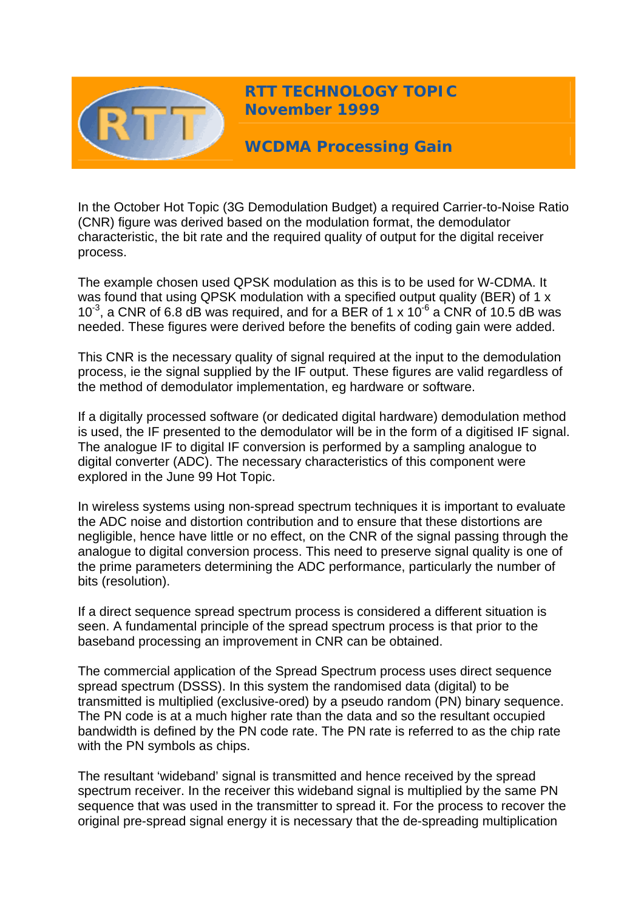

**RTT TECHNOLOGY TOPIC November 1999**

**WCDMA Processing Gain** 

In the October Hot Topic (3G Demodulation Budget) a required Carrier-to-Noise Ratio (CNR) figure was derived based on the modulation format, the demodulator characteristic, the bit rate and the required quality of output for the digital receiver process.

The example chosen used QPSK modulation as this is to be used for W-CDMA. It was found that using QPSK modulation with a specified output quality (BER) of 1 x 10 $^3$ , a CNR of 6.8 dB was required, and for a BER of 1 x 10 $^6$  a CNR of 10.5 dB was needed. These figures were derived before the benefits of coding gain were added.

This CNR is the necessary quality of signal required at the input to the demodulation process, ie the signal supplied by the IF output. These figures are valid regardless of the method of demodulator implementation, eg hardware or software.

If a digitally processed software (or dedicated digital hardware) demodulation method is used, the IF presented to the demodulator will be in the form of a digitised IF signal. The analogue IF to digital IF conversion is performed by a sampling analogue to digital converter (ADC). The necessary characteristics of this component were explored in the June 99 Hot Topic.

In wireless systems using non-spread spectrum techniques it is important to evaluate the ADC noise and distortion contribution and to ensure that these distortions are negligible, hence have little or no effect, on the CNR of the signal passing through the analogue to digital conversion process. This need to preserve signal quality is one of the prime parameters determining the ADC performance, particularly the number of bits (resolution).

If a direct sequence spread spectrum process is considered a different situation is seen. A fundamental principle of the spread spectrum process is that prior to the baseband processing an improvement in CNR can be obtained.

The commercial application of the Spread Spectrum process uses direct sequence spread spectrum (DSSS). In this system the randomised data (digital) to be transmitted is multiplied (exclusive-ored) by a pseudo random (PN) binary sequence. The PN code is at a much higher rate than the data and so the resultant occupied bandwidth is defined by the PN code rate. The PN rate is referred to as the chip rate with the PN symbols as chips.

The resultant 'wideband' signal is transmitted and hence received by the spread spectrum receiver. In the receiver this wideband signal is multiplied by the same PN sequence that was used in the transmitter to spread it. For the process to recover the original pre-spread signal energy it is necessary that the de-spreading multiplication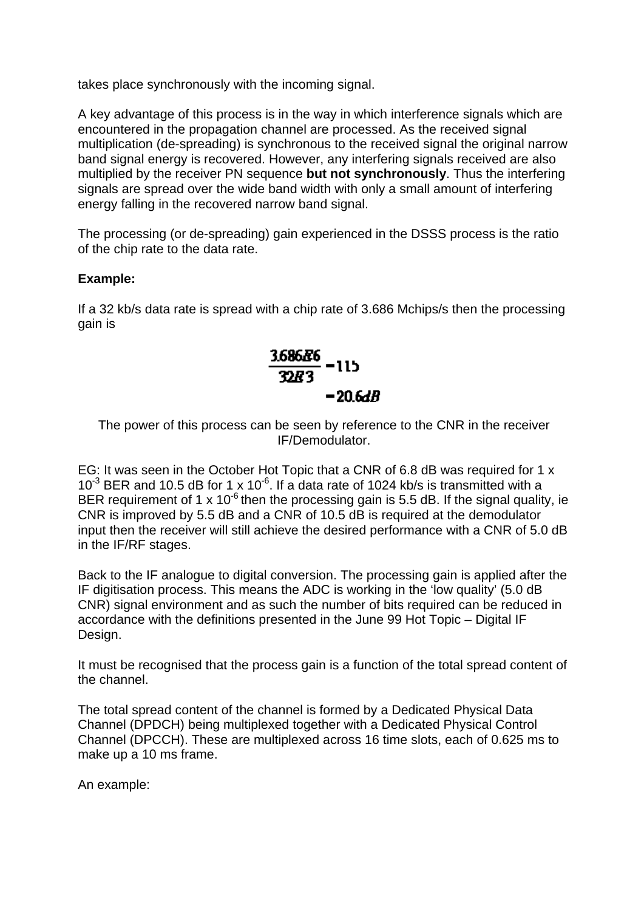takes place synchronously with the incoming signal.

A key advantage of this process is in the way in which interference signals which are encountered in the propagation channel are processed. As the received signal multiplication (de-spreading) is synchronous to the received signal the original narrow band signal energy is recovered. However, any interfering signals received are also multiplied by the receiver PN sequence **but not synchronously**. Thus the interfering signals are spread over the wide band width with only a small amount of interfering energy falling in the recovered narrow band signal.

The processing (or de-spreading) gain experienced in the DSSS process is the ratio of the chip rate to the data rate.

## **Example:**

If a 32 kb/s data rate is spread with a chip rate of 3.686 Mchips/s then the processing gain is



The power of this process can be seen by reference to the CNR in the receiver IF/Demodulator.

EG: It was seen in the October Hot Topic that a CNR of 6.8 dB was required for 1 x  $10^{-3}$  BER and 10.5 dB for 1 x 10<sup>-6</sup>. If a data rate of 1024 kb/s is transmitted with a BER requirement of 1 x  $10^{-6}$  then the processing gain is 5.5 dB. If the signal quality, ie CNR is improved by 5.5 dB and a CNR of 10.5 dB is required at the demodulator input then the receiver will still achieve the desired performance with a CNR of 5.0 dB in the IF/RF stages.

Back to the IF analogue to digital conversion. The processing gain is applied after the IF digitisation process. This means the ADC is working in the 'low quality' (5.0 dB CNR) signal environment and as such the number of bits required can be reduced in accordance with the definitions presented in the June 99 Hot Topic – Digital IF Design.

It must be recognised that the process gain is a function of the total spread content of the channel.

The total spread content of the channel is formed by a Dedicated Physical Data Channel (DPDCH) being multiplexed together with a Dedicated Physical Control Channel (DPCCH). These are multiplexed across 16 time slots, each of 0.625 ms to make up a 10 ms frame.

An example: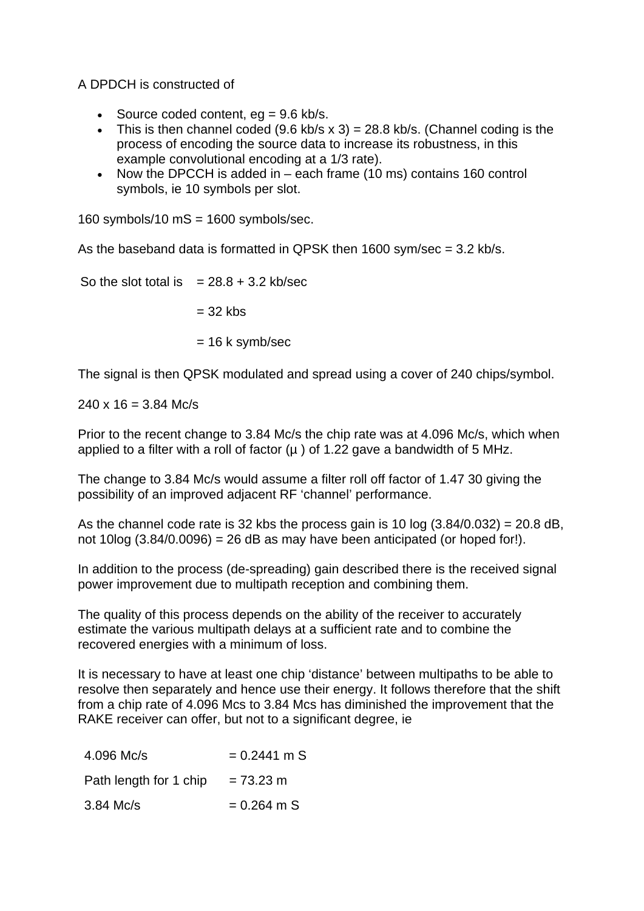A DPDCH is constructed of

- Source coded content,  $ea = 9.6$  kb/s.
- This is then channel coded  $(9.6 \text{ kb/s} \times 3) = 28.8 \text{ kb/s}$ . (Channel coding is the process of encoding the source data to increase its robustness, in this example convolutional encoding at a 1/3 rate).
- Now the DPCCH is added in each frame (10 ms) contains 160 control symbols, ie 10 symbols per slot.

160 symbols/10  $\text{mS} = 1600$  symbols/sec.

As the baseband data is formatted in QPSK then 1600 sym/sec = 3.2 kb/s.

So the slot total is  $= 28.8 + 3.2$  kb/sec

 $= 32$  kbs

 $= 16$  k symb/sec

The signal is then QPSK modulated and spread using a cover of 240 chips/symbol.

 $240 \times 16 = 3.84$  Mc/s

Prior to the recent change to 3.84 Mc/s the chip rate was at 4.096 Mc/s, which when applied to a filter with a roll of factor  $(\mu)$  of 1.22 gave a bandwidth of 5 MHz.

The change to 3.84 Mc/s would assume a filter roll off factor of 1.47 30 giving the possibility of an improved adjacent RF 'channel' performance.

As the channel code rate is 32 kbs the process gain is 10 log  $(3.84/0.032) = 20.8$  dB, not 10log  $(3.84/0.0096) = 26$  dB as may have been anticipated (or hoped for!).

In addition to the process (de-spreading) gain described there is the received signal power improvement due to multipath reception and combining them.

The quality of this process depends on the ability of the receiver to accurately estimate the various multipath delays at a sufficient rate and to combine the recovered energies with a minimum of loss.

It is necessary to have at least one chip 'distance' between multipaths to be able to resolve then separately and hence use their energy. It follows therefore that the shift from a chip rate of 4.096 Mcs to 3.84 Mcs has diminished the improvement that the RAKE receiver can offer, but not to a significant degree, ie

| 4.096 Mc/s             | $= 0.2441$ m S      |
|------------------------|---------------------|
| Path length for 1 chip | $= 73.23 \text{ m}$ |
| $3.84$ Mc/s            | $= 0.264$ m S       |